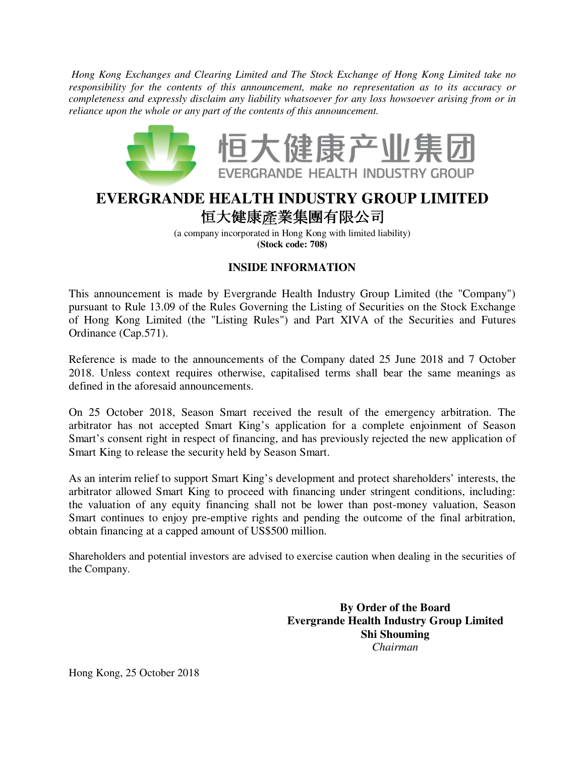*Hong Kong Exchanges and Clearing Limited and The Stock Exchange of Hong Kong Limited take no responsibility for the contents of this announcement, make no representation as to its accuracy or completeness and expressly disclaim any liability whatsoever for any loss howsoever arising from or in reliance upon the whole or any part of the contents of this announcement.* 



## **EVERGRANDE HEALTH INDUSTRY GROUP LIMITED**  恒大健康產業集團有限公司

 

(a company incorporated in Hong Kong with limited liability) **(Stock code: 708)**

-

## **INSIDE INFORMATION**

This announcement is made by Evergrande Health Industry Group Limited (the "Company") pursuant to Rule 13.09 of the Rules Governing the Listing of Securities on the Stock Exchange of Hong Kong Limited (the "Listing Rules") and Part XIVA of the Securities and Futures Ordinance (Cap.571).

Reference is made to the announcements of the Company dated 25 June 2018 and 7 October 2018. Unless context requires otherwise, capitalised terms shall bear the same meanings as defined in the aforesaid announcements.

On 25 October 2018, Season Smart received the result of the emergency arbitration. The arbitrator has not accepted Smart King's application for a complete enjoinment of Season Smart's consent right in respect of financing, and has previously rejected the new application of Smart King to release the security held by Season Smart.

As an interim relief to support Smart King's development and protect shareholders' interests, the arbitrator allowed Smart King to proceed with financing under stringent conditions, including: the valuation of any equity financing shall not be lower than post-money valuation, Season Smart continues to enjoy pre-emptive rights and pending the outcome of the final arbitration, obtain financing at a capped amount of US\$500 million.

Shareholders and potential investors are advised to exercise caution when dealing in the securities of the Company.

> **By Order of the Board Evergrande Health Industry Group Limited Shi Shouming**  *Chairman*

Hong Kong, 25 October 2018